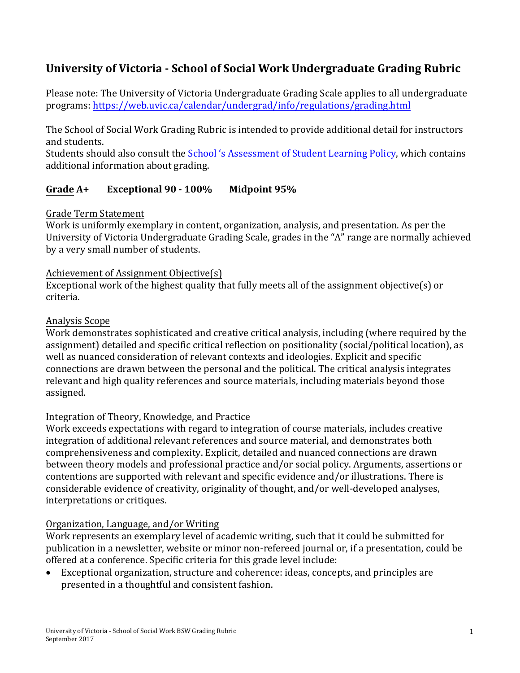# **University of Victoria - School of Social Work Undergraduate Grading Rubric**

Please note: The University of Victoria Undergraduate Grading Scale applies to all undergraduate programs: <https://web.uvic.ca/calendar/undergrad/info/regulations/grading.html>

The School of Social Work Grading Rubric is intended to provide additional detail for instructors and students.

Students should also consult the [School 's Assessment of Student Learning Policy,](http://www.uvic.ca/hsd/socialwork/home/home/policies/assess/index.php) which contains additional information about grading.

# **Grade A+ Exceptional 90 - 100% Midpoint 95%**

### Grade Term Statement

Work is uniformly exemplary in content, organization, analysis, and presentation. As per the University of Victoria Undergraduate Grading Scale, grades in the "A" range are normally achieved by a very small number of students.

### Achievement of Assignment Objective(s)

Exceptional work of the highest quality that fully meets all of the assignment objective(s) or criteria.

### Analysis Scope

Work demonstrates sophisticated and creative critical analysis, including (where required by the assignment) detailed and specific critical reflection on positionality (social/political location), as well as nuanced consideration of relevant contexts and ideologies. Explicit and specific connections are drawn between the personal and the political. The critical analysis integrates relevant and high quality references and source materials, including materials beyond those assigned.

# Integration of Theory, Knowledge, and Practice

Work exceeds expectations with regard to integration of course materials, includes creative integration of additional relevant references and source material, and demonstrates both comprehensiveness and complexity. Explicit, detailed and nuanced connections are drawn between theory models and professional practice and/or social policy. Arguments, assertions or contentions are supported with relevant and specific evidence and/or illustrations. There is considerable evidence of creativity, originality of thought, and/or well-developed analyses, interpretations or critiques.

### Organization, Language, and/or Writing

Work represents an exemplary level of academic writing, such that it could be submitted for publication in a newsletter, website or minor non-refereed journal or, if a presentation, could be offered at a conference. Specific criteria for this grade level include:

• Exceptional organization, structure and coherence: ideas, concepts, and principles are presented in a thoughtful and consistent fashion.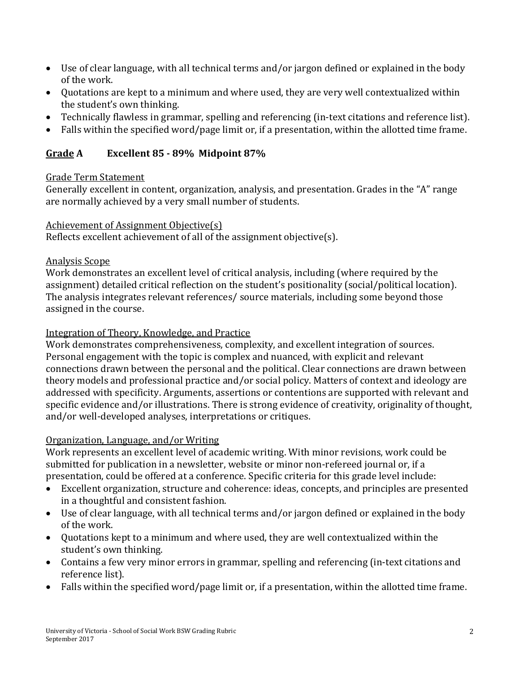- Use of clear language, with all technical terms and/or jargon defined or explained in the body of the work.
- Quotations are kept to a minimum and where used, they are very well contextualized within the student's own thinking.
- Technically flawless in grammar, spelling and referencing (in-text citations and reference list).
- Falls within the specified word/page limit or, if a presentation, within the allotted time frame.

# **Grade A Excellent 85 - 89% Midpoint 87%**

### Grade Term Statement

Generally excellent in content, organization, analysis, and presentation. Grades in the "A" range are normally achieved by a very small number of students.

### Achievement of Assignment Objective(s)

Reflects excellent achievement of all of the assignment objective(s).

# Analysis Scope

Work demonstrates an excellent level of critical analysis, including (where required by the assignment) detailed critical reflection on the student's positionality (social/political location). The analysis integrates relevant references/ source materials, including some beyond those assigned in the course.

# Integration of Theory, Knowledge, and Practice

Work demonstrates comprehensiveness, complexity, and excellent integration of sources. Personal engagement with the topic is complex and nuanced, with explicit and relevant connections drawn between the personal and the political. Clear connections are drawn between theory models and professional practice and/or social policy. Matters of context and ideology are addressed with specificity. Arguments, assertions or contentions are supported with relevant and specific evidence and/or illustrations. There is strong evidence of creativity, originality of thought, and/or well-developed analyses, interpretations or critiques.

# Organization, Language, and/or Writing

Work represents an excellent level of academic writing. With minor revisions, work could be submitted for publication in a newsletter, website or minor non-refereed journal or, if a presentation, could be offered at a conference. Specific criteria for this grade level include:

- Excellent organization, structure and coherence: ideas, concepts, and principles are presented in a thoughtful and consistent fashion.
- Use of clear language, with all technical terms and/or jargon defined or explained in the body of the work.
- Quotations kept to a minimum and where used, they are well contextualized within the student's own thinking.
- Contains a few very minor errors in grammar, spelling and referencing (in-text citations and reference list).
- Falls within the specified word/page limit or, if a presentation, within the allotted time frame.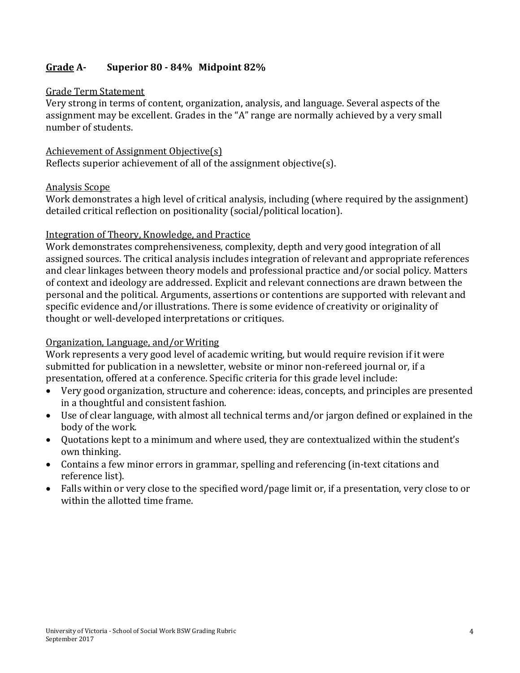# **Grade A- Superior 80 - 84% Midpoint 82%**

#### Grade Term Statement

Very strong in terms of content, organization, analysis, and language. Several aspects of the assignment may be excellent. Grades in the "A" range are normally achieved by a very small number of students.

Achievement of Assignment Objective(s) Reflects superior achievement of all of the assignment objective(s).

#### Analysis Scope

Work demonstrates a high level of critical analysis, including (where required by the assignment) detailed critical reflection on positionality (social/political location).

#### Integration of Theory, Knowledge, and Practice

Work demonstrates comprehensiveness, complexity, depth and very good integration of all assigned sources. The critical analysis includes integration of relevant and appropriate references and clear linkages between theory models and professional practice and/or social policy. Matters of context and ideology are addressed. Explicit and relevant connections are drawn between the personal and the political. Arguments, assertions or contentions are supported with relevant and specific evidence and/or illustrations. There is some evidence of creativity or originality of thought or well-developed interpretations or critiques.

### Organization, Language, and/or Writing

Work represents a very good level of academic writing, but would require revision if it were submitted for publication in a newsletter, website or minor non-refereed journal or, if a presentation, offered at a conference. Specific criteria for this grade level include:

- Very good organization, structure and coherence: ideas, concepts, and principles are presented in a thoughtful and consistent fashion.
- Use of clear language, with almost all technical terms and/or jargon defined or explained in the body of the work.
- Quotations kept to a minimum and where used, they are contextualized within the student's own thinking.
- Contains a few minor errors in grammar, spelling and referencing (in-text citations and reference list).
- Falls within or very close to the specified word/page limit or, if a presentation, very close to or within the allotted time frame.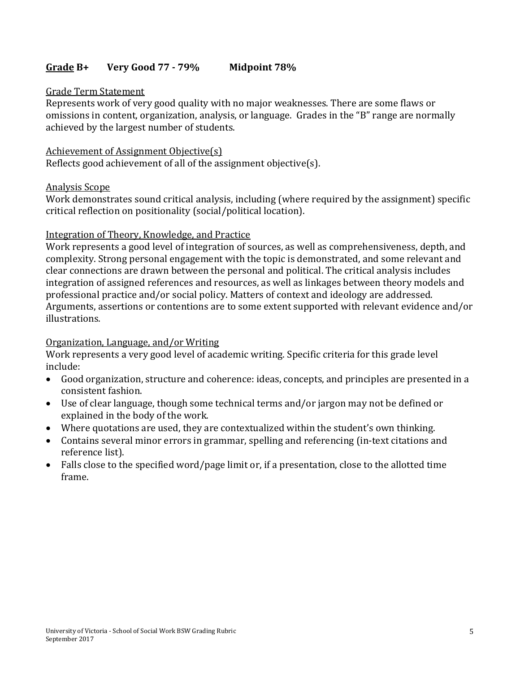## **Grade B+ Very Good 77 - 79% Midpoint 78%**

#### Grade Term Statement

Represents work of very good quality with no major weaknesses. There are some flaws or omissions in content, organization, analysis, or language. Grades in the "B" range are normally achieved by the largest number of students.

#### Achievement of Assignment Objective(s) Reflects good achievement of all of the assignment objective(s).

#### Analysis Scope

Work demonstrates sound critical analysis, including (where required by the assignment) specific critical reflection on positionality (social/political location).

#### Integration of Theory, Knowledge, and Practice

Work represents a good level of integration of sources, as well as comprehensiveness, depth, and complexity. Strong personal engagement with the topic is demonstrated, and some relevant and clear connections are drawn between the personal and political. The critical analysis includes integration of assigned references and resources, as well as linkages between theory models and professional practice and/or social policy. Matters of context and ideology are addressed. Arguments, assertions or contentions are to some extent supported with relevant evidence and/or illustrations.

#### Organization, Language, and/or Writing

Work represents a very good level of academic writing. Specific criteria for this grade level include:

- Good organization, structure and coherence: ideas, concepts, and principles are presented in a consistent fashion.
- Use of clear language, though some technical terms and/or jargon may not be defined or explained in the body of the work.
- Where quotations are used, they are contextualized within the student's own thinking.
- Contains several minor errors in grammar, spelling and referencing (in-text citations and reference list).
- Falls close to the specified word/page limit or, if a presentation, close to the allotted time frame.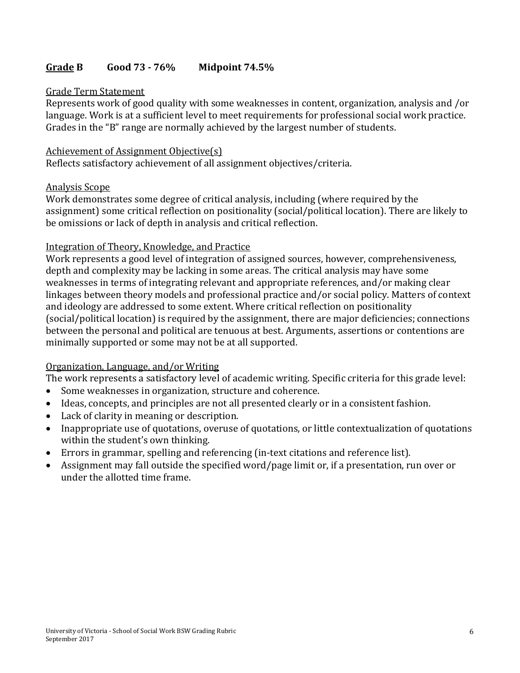## **Grade B Good 73 - 76% Midpoint 74.5%**

#### Grade Term Statement

Represents work of good quality with some weaknesses in content, organization, analysis and /or language. Work is at a sufficient level to meet requirements for professional social work practice. Grades in the "B" range are normally achieved by the largest number of students.

#### Achievement of Assignment Objective(s)

Reflects satisfactory achievement of all assignment objectives/criteria.

#### Analysis Scope

Work demonstrates some degree of critical analysis, including (where required by the assignment) some critical reflection on positionality (social/political location). There are likely to be omissions or lack of depth in analysis and critical reflection.

#### Integration of Theory, Knowledge, and Practice

Work represents a good level of integration of assigned sources, however, comprehensiveness, depth and complexity may be lacking in some areas. The critical analysis may have some weaknesses in terms of integrating relevant and appropriate references, and/or making clear linkages between theory models and professional practice and/or social policy. Matters of context and ideology are addressed to some extent. Where critical reflection on positionality (social/political location) is required by the assignment, there are major deficiencies; connections between the personal and political are tenuous at best. Arguments, assertions or contentions are minimally supported or some may not be at all supported.

### Organization, Language, and/or Writing

The work represents a satisfactory level of academic writing. Specific criteria for this grade level:

- Some weaknesses in organization, structure and coherence.
- Ideas, concepts, and principles are not all presented clearly or in a consistent fashion.
- Lack of clarity in meaning or description.
- Inappropriate use of quotations, overuse of quotations, or little contextualization of quotations within the student's own thinking.
- Errors in grammar, spelling and referencing (in-text citations and reference list).
- Assignment may fall outside the specified word/page limit or, if a presentation, run over or under the allotted time frame.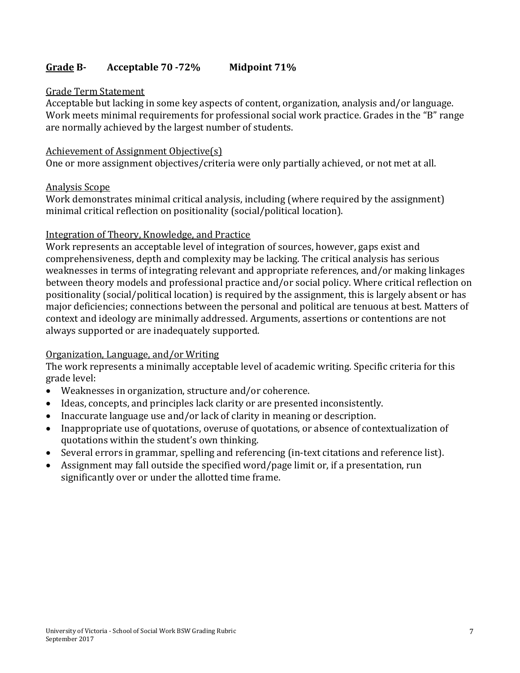# **Grade B- Acceptable 70 -72% Midpoint 71%**

#### Grade Term Statement

Acceptable but lacking in some key aspects of content, organization, analysis and/or language. Work meets minimal requirements for professional social work practice. Grades in the "B" range are normally achieved by the largest number of students.

#### Achievement of Assignment Objective(s)

One or more assignment objectives/criteria were only partially achieved, or not met at all.

#### Analysis Scope

Work demonstrates minimal critical analysis, including (where required by the assignment) minimal critical reflection on positionality (social/political location).

#### Integration of Theory, Knowledge, and Practice

Work represents an acceptable level of integration of sources, however, gaps exist and comprehensiveness, depth and complexity may be lacking. The critical analysis has serious weaknesses in terms of integrating relevant and appropriate references, and/or making linkages between theory models and professional practice and/or social policy. Where critical reflection on positionality (social/political location) is required by the assignment, this is largely absent or has major deficiencies; connections between the personal and political are tenuous at best. Matters of context and ideology are minimally addressed. Arguments, assertions or contentions are not always supported or are inadequately supported.

### Organization, Language, and/or Writing

The work represents a minimally acceptable level of academic writing. Specific criteria for this grade level:

- Weaknesses in organization, structure and/or coherence.
- Ideas, concepts, and principles lack clarity or are presented inconsistently.
- Inaccurate language use and/or lack of clarity in meaning or description.
- Inappropriate use of quotations, overuse of quotations, or absence of contextualization of quotations within the student's own thinking.
- Several errors in grammar, spelling and referencing (in-text citations and reference list).
- Assignment may fall outside the specified word/page limit or, if a presentation, run significantly over or under the allotted time frame.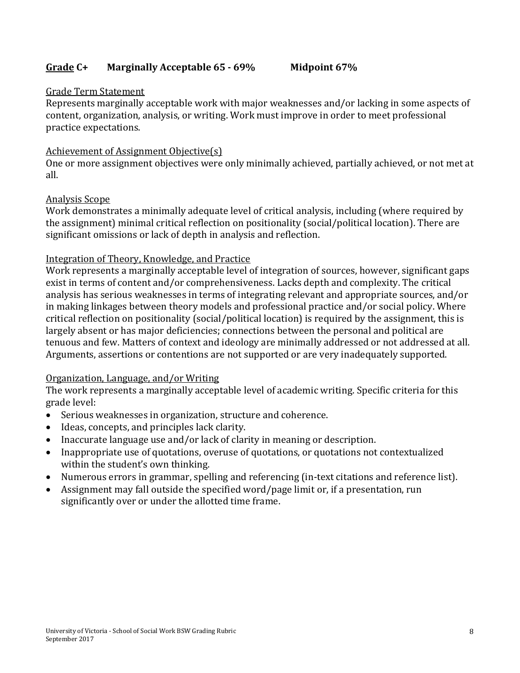### **Grade C+ Marginally Acceptable 65 - 69% Midpoint 67%**

### Grade Term Statement

Represents marginally acceptable work with major weaknesses and/or lacking in some aspects of content, organization, analysis, or writing. Work must improve in order to meet professional practice expectations.

### Achievement of Assignment Objective(s)

One or more assignment objectives were only minimally achieved, partially achieved, or not met at all.

### Analysis Scope

Work demonstrates a minimally adequate level of critical analysis, including (where required by the assignment) minimal critical reflection on positionality (social/political location). There are significant omissions or lack of depth in analysis and reflection.

### Integration of Theory, Knowledge, and Practice

Work represents a marginally acceptable level of integration of sources, however, significant gaps exist in terms of content and/or comprehensiveness. Lacks depth and complexity. The critical analysis has serious weaknesses in terms of integrating relevant and appropriate sources, and/or in making linkages between theory models and professional practice and/or social policy. Where critical reflection on positionality (social/political location) is required by the assignment, this is largely absent or has major deficiencies; connections between the personal and political are tenuous and few. Matters of context and ideology are minimally addressed or not addressed at all. Arguments, assertions or contentions are not supported or are very inadequately supported.

# Organization, Language, and/or Writing

The work represents a marginally acceptable level of academic writing. Specific criteria for this grade level:

- Serious weaknesses in organization, structure and coherence.
- Ideas, concepts, and principles lack clarity.
- Inaccurate language use and/or lack of clarity in meaning or description.
- Inappropriate use of quotations, overuse of quotations, or quotations not contextualized within the student's own thinking.
- Numerous errors in grammar, spelling and referencing (in-text citations and reference list).
- Assignment may fall outside the specified word/page limit or, if a presentation, run significantly over or under the allotted time frame.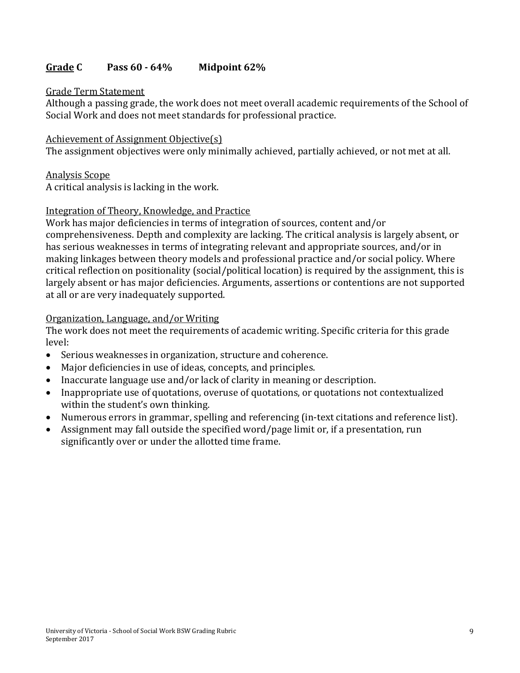### **Grade C Pass 60 - 64% Midpoint 62%**

#### Grade Term Statement

Although a passing grade, the work does not meet overall academic requirements of the School of Social Work and does not meet standards for professional practice.

#### Achievement of Assignment Objective(s)

The assignment objectives were only minimally achieved, partially achieved, or not met at all.

#### Analysis Scope

A critical analysis is lacking in the work.

#### Integration of Theory, Knowledge, and Practice

Work has major deficiencies in terms of integration of sources, content and/or comprehensiveness. Depth and complexity are lacking. The critical analysis is largely absent, or has serious weaknesses in terms of integrating relevant and appropriate sources, and/or in making linkages between theory models and professional practice and/or social policy. Where critical reflection on positionality (social/political location) is required by the assignment, this is largely absent or has major deficiencies. Arguments, assertions or contentions are not supported at all or are very inadequately supported.

#### Organization, Language, and/or Writing

The work does not meet the requirements of academic writing. Specific criteria for this grade level:

- Serious weaknesses in organization, structure and coherence.
- Major deficiencies in use of ideas, concepts, and principles.
- Inaccurate language use and/or lack of clarity in meaning or description.
- Inappropriate use of quotations, overuse of quotations, or quotations not contextualized within the student's own thinking.
- Numerous errors in grammar, spelling and referencing (in-text citations and reference list).
- Assignment may fall outside the specified word/page limit or, if a presentation, run significantly over or under the allotted time frame.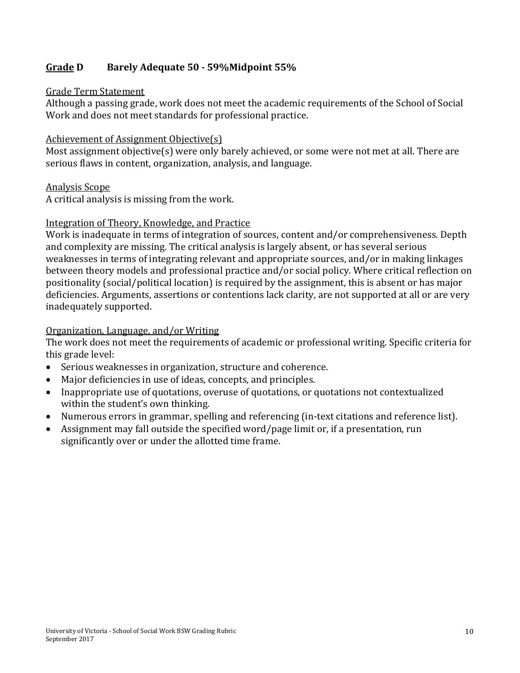## **Grade D Barely Adequate 50 - 59%Midpoint 55%**

#### Grade Term Statement

Although a passing grade, work does not meet the academic requirements of the School of Social Work and does not meet standards for professional practice.

#### Achievement of Assignment Objective(s)

Most assignment objective(s) were only barely achieved, or some were not met at all. There are serious flaws in content, organization, analysis, and language.

#### Analysis Scope

A critical analysis is missing from the work.

#### Integration of Theory, Knowledge, and Practice

Work is inadequate in terms of integration of sources, content and/or comprehensiveness. Depth and complexity are missing. The critical analysis is largely absent, or has several serious weaknesses in terms of integrating relevant and appropriate sources, and/or in making linkages between theory models and professional practice and/or social policy. Where critical reflection on positionality (social/political location) is required by the assignment, this is absent or has major deficiencies. Arguments, assertions or contentions lack clarity, are not supported at all or are very inadequately supported.

#### Organization, Language, and/or Writing

The work does not meet the requirements of academic or professional writing. Specific criteria for this grade level:

- Serious weaknesses in organization, structure and coherence.
- Major deficiencies in use of ideas, concepts, and principles.
- Inappropriate use of quotations, overuse of quotations, or quotations not contextualized within the student's own thinking.
- Numerous errors in grammar, spelling and referencing (in-text citations and reference list).
- Assignment may fall outside the specified word/page limit or, if a presentation, run significantly over or under the allotted time frame.